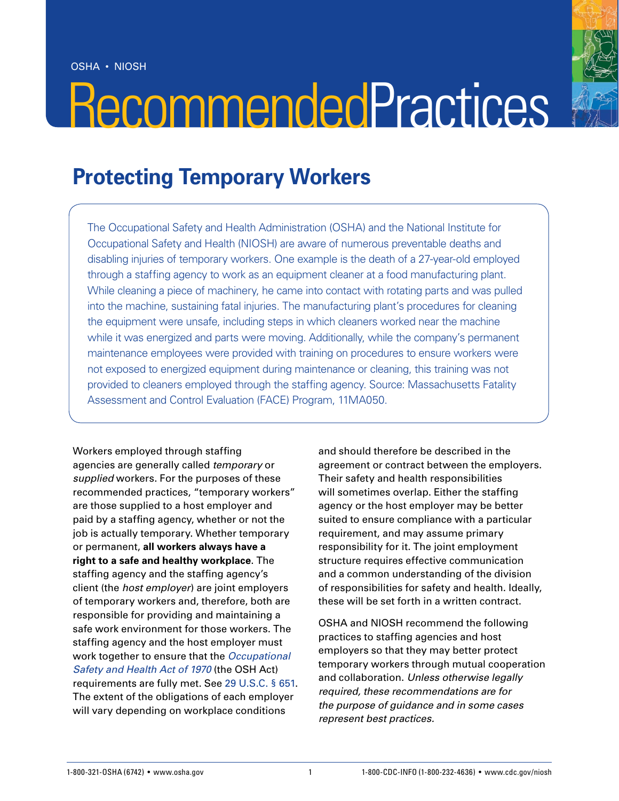## RecommendedPractices



## **Protecting Temporary Workers**

The Occupational Safety and Health Administration (OSHA) and the National Institute for Occupational Safety and Health (NIOSH) are aware of numerous preventable deaths and disabling injuries of temporary workers. One example is the death of a 27-year-old employed through a staffing agency to work as an equipment cleaner at a food manufacturing plant. While cleaning a piece of machinery, he came into contact with rotating parts and was pulled into the machine, sustaining fatal injuries. The manufacturing plant's procedures for cleaning the equipment were unsafe, including steps in which cleaners worked near the machine while it was energized and parts were moving. Additionally, while the company's permanent maintenance employees were provided with training on procedures to ensure workers were not exposed to energized equipment during maintenance or cleaning, this training was not provided to cleaners employed through the staffing agency. Source: Massachusetts Fatality Assessment and Control Evaluation (FACE) Program, 11MA050.

Workers employed through staffing agencies are generally called *temporary* or *supplied* workers. For the purposes of these recommended practices, "temporary workers" are those supplied to a host employer and paid by a staffing agency, whether or not the job is actually temporary. Whether temporary or permanent, **all workers always have a right to a safe and healthy workplace**. The staffing agency and the staffing agency's client (the *host employer*) are joint employers of temporary workers and, therefore, both are responsible for providing and maintaining a safe work environment for those workers. The staffing agency and the host employer must work together to ensure that the *[Occupational](http://www.osha.gov/pls/oshaweb/owadisp.show_document?p_table=OSHACT&p_id=2743)  [Safety and Health Act of 1970](http://www.osha.gov/pls/oshaweb/owadisp.show_document?p_table=OSHACT&p_id=2743)* (the OSH Act) requirements are fully met. See [29 U.S.C. § 651](http://www.osha.gov/pls/oshaweb/owadisp.show_document?p_table=OSHACT&p_id=2743). The extent of the obligations of each employer will vary depending on workplace conditions

and should therefore be described in the agreement or contract between the employers. Their safety and health responsibilities will sometimes overlap. Either the staffing agency or the host employer may be better suited to ensure compliance with a particular requirement, and may assume primary responsibility for it. The joint employment structure requires effective communication and a common understanding of the division of responsibilities for safety and health. Ideally, these will be set forth in a written contract.

OSHA and NIOSH recommend the following practices to staffing agencies and host employers so that they may better protect temporary workers through mutual cooperation and collaboration. *Unless otherwise legally required, these recommendations are for the purpose of guidance and in some cases represent best practices.*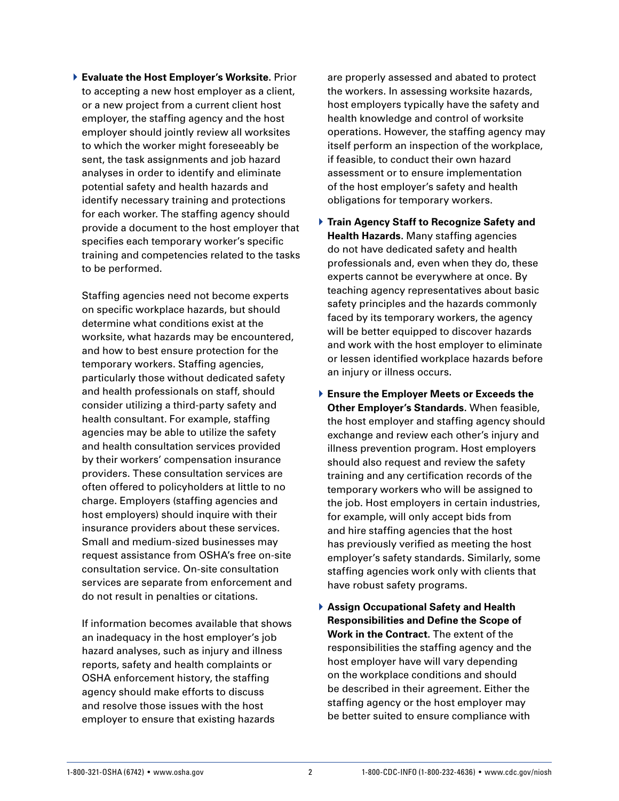} **Evaluate the Host Employer's Worksite.** Prior to accepting a new host employer as a client, or a new project from a current client host employer, the staffing agency and the host employer should jointly review all worksites to which the worker might foreseeably be sent, the task assignments and job hazard analyses in order to identify and eliminate potential safety and health hazards and identify necessary training and protections for each worker. The staffing agency should provide a document to the host employer that specifies each temporary worker's specific training and competencies related to the tasks to be performed.

Staffing agencies need not become experts on specific workplace hazards, but should determine what conditions exist at the worksite, what hazards may be encountered, and how to best ensure protection for the temporary workers. Staffing agencies, particularly those without dedicated safety and health professionals on staff, should consider utilizing a third-party safety and health consultant. For example, staffing agencies may be able to utilize the safety and health consultation services provided by their workers' compensation insurance providers. These consultation services are often offered to policyholders at little to no charge. Employers (staffing agencies and host employers) should inquire with their insurance providers about these services. Small and medium-sized businesses may request assistance from OSHA's free on-site consultation service. On-site consultation services are separate from enforcement and do not result in penalties or citations.

If information becomes available that shows an inadequacy in the host employer's job hazard analyses, such as injury and illness reports, safety and health complaints or OSHA enforcement history, the staffing agency should make efforts to discuss and resolve those issues with the host employer to ensure that existing hazards

are properly assessed and abated to protect the workers. In assessing worksite hazards, host employers typically have the safety and health knowledge and control of worksite operations. However, the staffing agency may itself perform an inspection of the workplace, if feasible, to conduct their own hazard assessment or to ensure implementation of the host employer's safety and health obligations for temporary workers.

- } **Train Agency Staff to Recognize Safety and Health Hazards.** Many staffing agencies do not have dedicated safety and health professionals and, even when they do, these experts cannot be everywhere at once. By teaching agency representatives about basic safety principles and the hazards commonly faced by its temporary workers, the agency will be better equipped to discover hazards and work with the host employer to eliminate or lessen identified workplace hazards before an injury or illness occurs.
- } **Ensure the Employer Meets or Exceeds the Other Employer's Standards.** When feasible, the host employer and staffing agency should exchange and review each other's injury and illness prevention program. Host employers should also request and review the safety training and any certification records of the temporary workers who will be assigned to the job. Host employers in certain industries, for example, will only accept bids from and hire staffing agencies that the host has previously verified as meeting the host employer's safety standards. Similarly, some staffing agencies work only with clients that have robust safety programs.
- } **Assign Occupational Safety and Health Responsibilities and Define the Scope of Work in the Contract.** The extent of the responsibilities the staffing agency and the host employer have will vary depending on the workplace conditions and should be described in their agreement. Either the staffing agency or the host employer may be better suited to ensure compliance with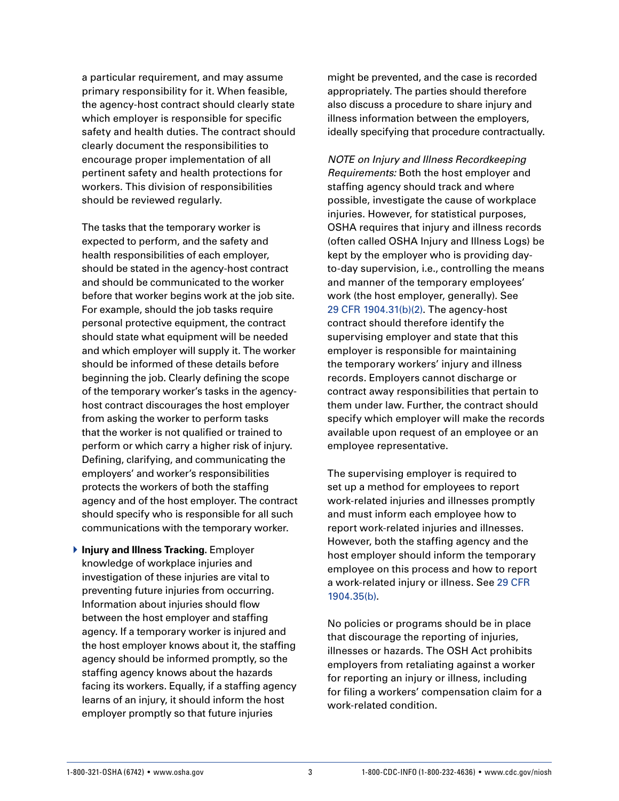a particular requirement, and may assume primary responsibility for it. When feasible, the agency-host contract should clearly state which employer is responsible for specific safety and health duties. The contract should clearly document the responsibilities to encourage proper implementation of all pertinent safety and health protections for workers. This division of responsibilities should be reviewed regularly.

The tasks that the temporary worker is expected to perform, and the safety and health responsibilities of each employer, should be stated in the agency-host contract and should be communicated to the worker before that worker begins work at the job site. For example, should the job tasks require personal protective equipment, the contract should state what equipment will be needed and which employer will supply it. The worker should be informed of these details before beginning the job. Clearly defining the scope of the temporary worker's tasks in the agencyhost contract discourages the host employer from asking the worker to perform tasks that the worker is not qualified or trained to perform or which carry a higher risk of injury. Defining, clarifying, and communicating the employers' and worker's responsibilities protects the workers of both the staffing agency and of the host employer. The contract should specify who is responsible for all such communications with the temporary worker.

**Injury and Illness Tracking. Employer** knowledge of workplace injuries and investigation of these injuries are vital to preventing future injuries from occurring. Information about injuries should flow between the host employer and staffing agency. If a temporary worker is injured and the host employer knows about it, the staffing agency should be informed promptly, so the staffing agency knows about the hazards facing its workers. Equally, if a staffing agency learns of an injury, it should inform the host employer promptly so that future injuries

might be prevented, and the case is recorded appropriately. The parties should therefore also discuss a procedure to share injury and illness information between the employers, ideally specifying that procedure contractually.

*NOTE on Injury and Illness Recordkeeping Requirements:* Both the host employer and staffing agency should track and where possible, investigate the cause of workplace injuries. However, for statistical purposes, OSHA requires that injury and illness records (often called OSHA Injury and Illness Logs) be kept by the employer who is providing dayto-day supervision, i.e., controlling the means and manner of the temporary employees' work (the host employer, generally). See [29 CFR 1904.31\(b\)\(2\)](http://www.osha.gov/pls/oshaweb/owadisp.show_document?p_table=STANDARDS&p_id=12775). The agency-host contract should therefore identify the supervising employer and state that this employer is responsible for maintaining the temporary workers' injury and illness records. Employers cannot discharge or contract away responsibilities that pertain to them under law. Further, the contract should specify which employer will make the records available upon request of an employee or an employee representative.

The supervising employer is required to set up a method for employees to report work-related injuries and illnesses promptly and must inform each employee how to report work-related injuries and illnesses. However, both the staffing agency and the host employer should inform the temporary employee on this process and how to report a work-related injury or illness. See [29 CFR](http://www.osha.gov/pls/oshaweb/owadisp.show_document?p_table=STANDARDS&p_id=12779)  [1904.35\(b\)](http://www.osha.gov/pls/oshaweb/owadisp.show_document?p_table=STANDARDS&p_id=12779).

No policies or programs should be in place that discourage the reporting of injuries, illnesses or hazards. The OSH Act prohibits employers from retaliating against a worker for reporting an injury or illness, including for filing a workers' compensation claim for a work-related condition.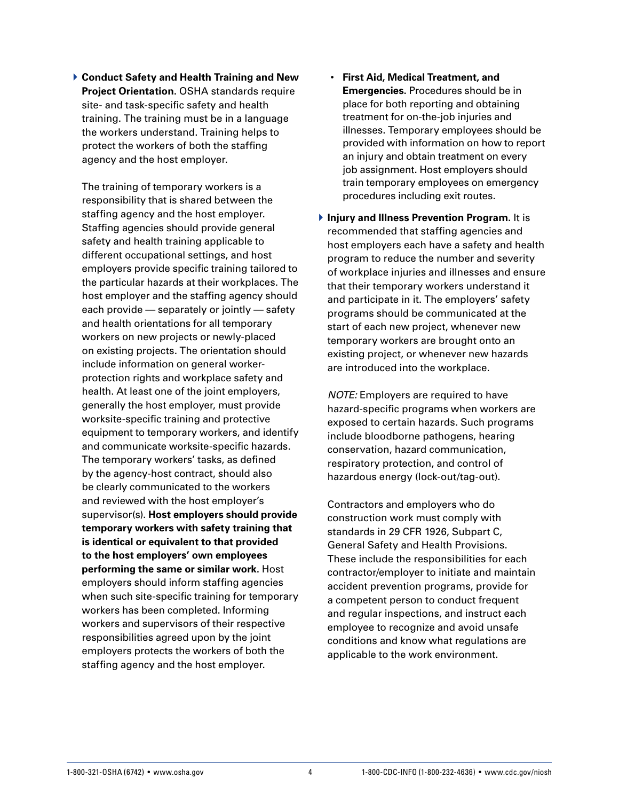} **Conduct Safety and Health Training and New Project Orientation.** OSHA standards require site- and task-specific safety and health training. The training must be in a language the workers understand. Training helps to protect the workers of both the staffing agency and the host employer.

The training of temporary workers is a responsibility that is shared between the staffing agency and the host employer. Staffing agencies should provide general safety and health training applicable to different occupational settings, and host employers provide specific training tailored to the particular hazards at their workplaces. The host employer and the staffing agency should each provide — separately or jointly — safety and health orientations for all temporary workers on new projects or newly-placed on existing projects. The orientation should include information on general workerprotection rights and workplace safety and health. At least one of the joint employers, generally the host employer, must provide worksite-specific training and protective equipment to temporary workers, and identify and communicate worksite-specific hazards. The temporary workers' tasks, as defined by the agency-host contract, should also be clearly communicated to the workers and reviewed with the host employer's supervisor(s). **Host employers should provide temporary workers with safety training that is identical or equivalent to that provided to the host employers' own employees performing the same or similar work.** Host employers should inform staffing agencies when such site-specific training for temporary workers has been completed. Informing workers and supervisors of their respective responsibilities agreed upon by the joint employers protects the workers of both the staffing agency and the host employer.

- **First Aid, Medical Treatment, and Emergencies.** Procedures should be in place for both reporting and obtaining treatment for on-the-job injuries and illnesses. Temporary employees should be provided with information on how to report an injury and obtain treatment on every job assignment. Host employers should train temporary employees on emergency procedures including exit routes.
- } **Injury and Illness Prevention Program.** It is recommended that staffing agencies and host employers each have a safety and health program to reduce the number and severity of workplace injuries and illnesses and ensure that their temporary workers understand it and participate in it. The employers' safety programs should be communicated at the start of each new project, whenever new temporary workers are brought onto an existing project, or whenever new hazards are introduced into the workplace.

*NOTE:* Employers are required to have hazard-specific programs when workers are exposed to certain hazards. Such programs include bloodborne pathogens, hearing conservation, hazard communication, respiratory protection, and control of hazardous energy (lock-out/tag-out).

Contractors and employers who do construction work must comply with standards in 29 CFR 1926, Subpart C, General Safety and Health Provisions. These include the responsibilities for each contractor/employer to initiate and maintain accident prevention programs, provide for a competent person to conduct frequent and regular inspections, and instruct each employee to recognize and avoid unsafe conditions and know what regulations are applicable to the work environment.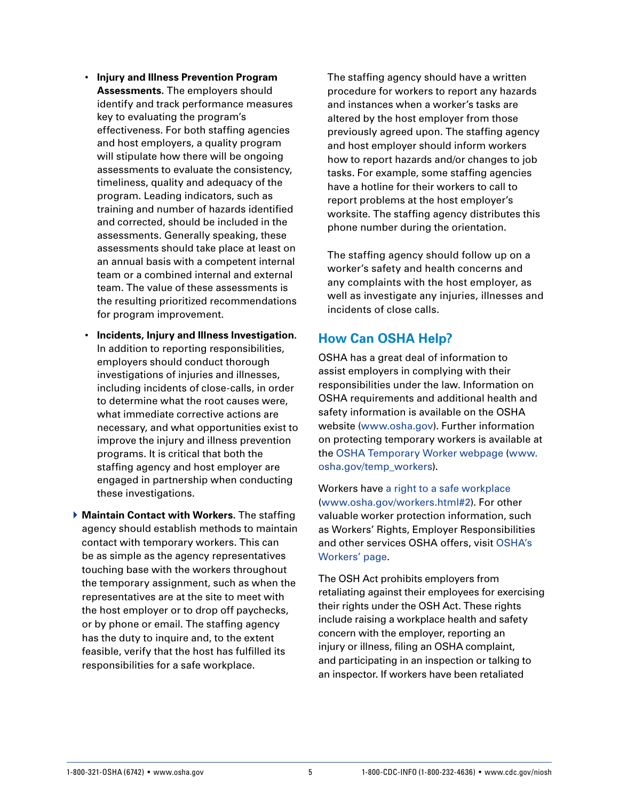- **Injury and Illness Prevention Program Assessments.** The employers should identify and track performance measures key to evaluating the program's effectiveness. For both staffing agencies and host employers, a quality program will stipulate how there will be ongoing assessments to evaluate the consistency, timeliness, quality and adequacy of the program. Leading indicators, such as training and number of hazards identified and corrected, should be included in the assessments. Generally speaking, these assessments should take place at least on an annual basis with a competent internal team or a combined internal and external team. The value of these assessments is the resulting prioritized recommendations for program improvement.
- **Incidents, Injury and Illness Investigation.**  In addition to reporting responsibilities, employers should conduct thorough investigations of injuries and illnesses, including incidents of close-calls, in order to determine what the root causes were, what immediate corrective actions are necessary, and what opportunities exist to improve the injury and illness prevention programs. It is critical that both the staffing agency and host employer are engaged in partnership when conducting these investigations.
- } **Maintain Contact with Workers.** The staffing agency should establish methods to maintain contact with temporary workers. This can be as simple as the agency representatives touching base with the workers throughout the temporary assignment, such as when the representatives are at the site to meet with the host employer or to drop off paychecks, or by phone or email. The staffing agency has the duty to inquire and, to the extent feasible, verify that the host has fulfilled its responsibilities for a safe workplace.

The staffing agency should have a written procedure for workers to report any hazards and instances when a worker's tasks are altered by the host employer from those previously agreed upon. The staffing agency and host employer should inform workers how to report hazards and/or changes to job tasks. For example, some staffing agencies have a hotline for their workers to call to report problems at the host employer's worksite. The staffing agency distributes this phone number during the orientation.

The staffing agency should follow up on a worker's safety and health concerns and any complaints with the host employer, as well as investigate any injuries, illnesses and incidents of close calls.

## **How Can OSHA Help?**

OSHA has a great deal of information to assist employers in complying with their responsibilities under the law. Information on OSHA requirements and additional health and safety information is available on the OSHA website [\(www.osha.gov](http://www.OSHA.gov)). Further information on protecting temporary workers is available at the [OSHA Temporary Worker webpage](http://www.osha.gov/temp_workers/index.html) ([www.](http://www.osha.gov/temp_workers) [osha.gov/temp\\_workers\)](http://www.osha.gov/temp_workers).

Workers have [a right to a safe workplace](http://www.osha.gov/workers.html) [\(www.osha.gov/workers.html#2](http://www.osha.gov/workers.html#2)). For other valuable worker protection information, such as Workers' Rights, Employer Responsibilities and other services OSHA offers, visit [OSHA's](https://www.osha.gov/workers.html)  [Workers' page.](https://www.osha.gov/workers.html)

The OSH Act prohibits employers from retaliating against their employees for exercising their rights under the OSH Act. These rights include raising a workplace health and safety concern with the employer, reporting an injury or illness, filing an OSHA complaint, and participating in an inspection or talking to an inspector. If workers have been retaliated